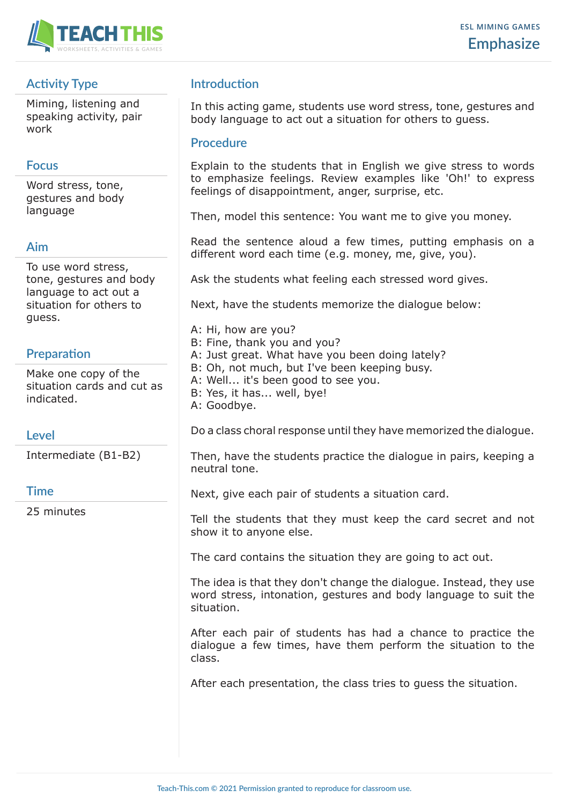

# **Activity Type**

Miming, listening and speaking activity, pair work

#### **Focus**

Word stress, tone, gestures and body language

#### **Aim**

To use word stress, tone, gestures and body language to act out a situation for others to guess.

# **Preparation**

Make one copy of the situation cards and cut as indicated.

## **Level**

Intermediate (B1-B2)

## **Time**

25 minutes

# **Introduction**

In this acting game, students use word stress, tone, gestures and body language to act out a situation for others to guess.

#### **Procedure**

Explain to the students that in English we give stress to words to emphasize feelings. Review examples like 'Oh!' to express feelings of disappointment, anger, surprise, etc.

Then, model this sentence: You want me to give you money.

Read the sentence aloud a few times, putting emphasis on a different word each time (e.g. money, me, give, you).

Ask the students what feeling each stressed word gives.

Next, have the students memorize the dialogue below:

- A: Hi, how are you?
- B: Fine, thank you and you?
- A: Just great. What have you been doing lately?
- B: Oh, not much, but I've been keeping busy.
- A: Well... it's been good to see you.
- B: Yes, it has... well, bye!
- A: Goodbye.

Do a class choral response until they have memorized the dialogue.

Then, have the students practice the dialogue in pairs, keeping a neutral tone.

Next, give each pair of students a situation card.

Tell the students that they must keep the card secret and not show it to anyone else.

The card contains the situation they are going to act out.

The idea is that they don't change the dialogue. Instead, they use word stress, intonation, gestures and body language to suit the situation.

After each pair of students has had a chance to practice the dialogue a few times, have them perform the situation to the class.

After each presentation, the class tries to guess the situation.